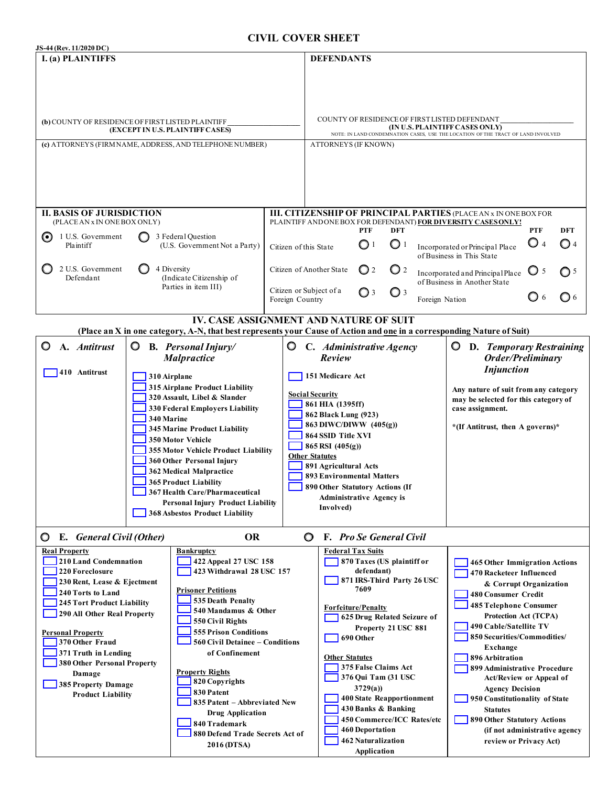## **CIVIL COVER SHEET**

| JS-44 (Rev. 11/2020 DC)                                                                                                                                                                                                                                                                                                                              |                                                                                                                                                                                                                                                                                                                                                                                                                                                   |                                                                                                                                                                                                                            |                                                                                                                                                                                                                                                                                                                                                                                 |                                                                                                                                      |                                                                                                                                                                                                                                                                                                                                                                                                                                       |  |  |  |
|------------------------------------------------------------------------------------------------------------------------------------------------------------------------------------------------------------------------------------------------------------------------------------------------------------------------------------------------------|---------------------------------------------------------------------------------------------------------------------------------------------------------------------------------------------------------------------------------------------------------------------------------------------------------------------------------------------------------------------------------------------------------------------------------------------------|----------------------------------------------------------------------------------------------------------------------------------------------------------------------------------------------------------------------------|---------------------------------------------------------------------------------------------------------------------------------------------------------------------------------------------------------------------------------------------------------------------------------------------------------------------------------------------------------------------------------|--------------------------------------------------------------------------------------------------------------------------------------|---------------------------------------------------------------------------------------------------------------------------------------------------------------------------------------------------------------------------------------------------------------------------------------------------------------------------------------------------------------------------------------------------------------------------------------|--|--|--|
| I. (a) PLAINTIFFS                                                                                                                                                                                                                                                                                                                                    |                                                                                                                                                                                                                                                                                                                                                                                                                                                   |                                                                                                                                                                                                                            | <b>DEFENDANTS</b>                                                                                                                                                                                                                                                                                                                                                               |                                                                                                                                      |                                                                                                                                                                                                                                                                                                                                                                                                                                       |  |  |  |
| (b) COUNTY OF RESIDENCE OF FIRST LISTED PLAINTIFF<br>(EXCEPT IN U.S. PLAINTIFF CASES)                                                                                                                                                                                                                                                                |                                                                                                                                                                                                                                                                                                                                                                                                                                                   |                                                                                                                                                                                                                            | COUNTY OF RESIDENCE OF FIRST LISTED DEFENDANT<br>$\left(\left[\mathbf{IN}\, \mathbf{U.S.}\, \mathbf{PLAINTIFF}\, \mathbf{CASES}\, \mathbf{ONLY}\right]\right.\\ \left.\left.\mathbf{NOTE:}\, \mathbf{IN}\, \mathbf{LAND}\, \mathbf{COND}\, \mathbf{MAND}\, \mathbf{ONDE} \mathbf{MND}\, \mathbf{INVOLVED}\right)$                                                               |                                                                                                                                      |                                                                                                                                                                                                                                                                                                                                                                                                                                       |  |  |  |
| (c) ATTORNEYS (FIRM NAME, ADDRESS, AND TELEPHONE NUMBER)                                                                                                                                                                                                                                                                                             |                                                                                                                                                                                                                                                                                                                                                                                                                                                   |                                                                                                                                                                                                                            | <b>ATTORNEYS (IF KNOWN)</b>                                                                                                                                                                                                                                                                                                                                                     |                                                                                                                                      |                                                                                                                                                                                                                                                                                                                                                                                                                                       |  |  |  |
| <b>II. BASIS OF JURISDICTION</b><br>(PLACE AN x IN ONE BOX ONLY)                                                                                                                                                                                                                                                                                     |                                                                                                                                                                                                                                                                                                                                                                                                                                                   |                                                                                                                                                                                                                            | III. CITIZENSHIP OF PRINCIPAL PARTIES (PLACEAN x IN ONE BOX FOR<br>PLAINTIFF ANDONE BOX FOR DEFENDANT) FOR DIVERSITY CASES ONLY!                                                                                                                                                                                                                                                |                                                                                                                                      |                                                                                                                                                                                                                                                                                                                                                                                                                                       |  |  |  |
| 1 U.S. Government<br>Plaintiff                                                                                                                                                                                                                                                                                                                       | 3 Federal Question<br>(U.S. Government Not a Party)                                                                                                                                                                                                                                                                                                                                                                                               |                                                                                                                                                                                                                            | PTF<br>DFT<br>$\bigcirc$ 1<br>$\mathbf{O}$ <sup>1</sup><br>Citizen of this State                                                                                                                                                                                                                                                                                                |                                                                                                                                      | PTF<br>DFT<br>$\bigcirc$ 4<br>$\bigcirc$ 4<br>Incorporated or Principal Place<br>of Business in This State                                                                                                                                                                                                                                                                                                                            |  |  |  |
| 2 U.S. Government<br>Defendant                                                                                                                                                                                                                                                                                                                       | 4 Diversity<br>(Indicate Citizenship of                                                                                                                                                                                                                                                                                                                                                                                                           |                                                                                                                                                                                                                            | Citizen of Another State<br>$\mathbf{O}$ 2<br>$\mathbf{O}$ 2                                                                                                                                                                                                                                                                                                                    |                                                                                                                                      | $\bigcirc$ 5<br>O <sub>5</sub><br>Incorporated and Principal Place<br>of Business in Another State                                                                                                                                                                                                                                                                                                                                    |  |  |  |
|                                                                                                                                                                                                                                                                                                                                                      | Parties in item III)                                                                                                                                                                                                                                                                                                                                                                                                                              | Foreign Country                                                                                                                                                                                                            | Citizen or Subject of a<br>$\bigcirc$ 3<br>$\bigcirc$ 3                                                                                                                                                                                                                                                                                                                         | Foreign Nation                                                                                                                       | <b>O</b> 6<br>O 6                                                                                                                                                                                                                                                                                                                                                                                                                     |  |  |  |
| <b>IV. CASE ASSIGNMENT AND NATURE OF SUIT</b><br>(Place an X in one category, A-N, that best represents your Cause of Action and one in a corresponding Nature of Suit)                                                                                                                                                                              |                                                                                                                                                                                                                                                                                                                                                                                                                                                   |                                                                                                                                                                                                                            |                                                                                                                                                                                                                                                                                                                                                                                 |                                                                                                                                      |                                                                                                                                                                                                                                                                                                                                                                                                                                       |  |  |  |
| O<br>A. Antitrust<br>O<br>410 Antitrust                                                                                                                                                                                                                                                                                                              | <b>B.</b> Personal Injury/<br><b>Malpractice</b>                                                                                                                                                                                                                                                                                                                                                                                                  | O                                                                                                                                                                                                                          | C. Administrative Agency<br>Review                                                                                                                                                                                                                                                                                                                                              |                                                                                                                                      | D. Temporary Restraining<br>O<br>Order/Preliminary<br><b>Injunction</b>                                                                                                                                                                                                                                                                                                                                                               |  |  |  |
|                                                                                                                                                                                                                                                                                                                                                      | 310 Airplane<br>315 Airplane Product Liability<br>320 Assault, Libel & Slander<br>330 Federal Employers Liability<br>340 Marine<br><b>345 Marine Product Liability</b><br>350 Motor Vehicle<br>355 Motor Vehicle Product Liability<br>360 Other Personal Injury<br>362 Medical Malpractice<br><b>365 Product Liability</b><br>367 Health Care/Pharmaceutical<br><b>Personal Injury Product Liability</b><br><b>368 Asbestos Product Liability</b> |                                                                                                                                                                                                                            | <b>Social Security</b><br>861 HIA (1395ff)<br>862 Black Lung (923)<br>863 DIWC/DIWW (405(g))<br>864 SSID Title XVI<br>865 RSI (405(g))<br><b>Other Statutes</b><br>891 Agricultural Acts<br><b>893 Environmental Matters</b><br>890 Other Statutory Actions (If<br><b>Administrative Agency is</b><br>Involved)                                                                 | Any nature of suit from any category<br>may be selected for this category of<br>case assignment.<br>*(If Antitrust, then A governs)* |                                                                                                                                                                                                                                                                                                                                                                                                                                       |  |  |  |
| E. General Civil (Other)<br><b>OR</b><br>F. Pro Se General Civil<br>$\circ$<br>O.                                                                                                                                                                                                                                                                    |                                                                                                                                                                                                                                                                                                                                                                                                                                                   |                                                                                                                                                                                                                            |                                                                                                                                                                                                                                                                                                                                                                                 |                                                                                                                                      |                                                                                                                                                                                                                                                                                                                                                                                                                                       |  |  |  |
| <b>Real Property</b><br>210 Land Condemnation<br>220 Foreclosure<br>230 Rent, Lease & Ejectment<br>240 Torts to Land<br>245 Tort Product Liability<br>290 All Other Real Property<br><b>Personal Property</b><br>370 Other Fraud<br>371 Truth in Lending<br>380 Other Personal Property<br>Damage<br>385 Property Damage<br><b>Product Liability</b> | <b>Bankruptcy</b><br><b>Prisoner Petitions</b><br>535 Death Penalty<br>550 Civil Rights<br><b>Property Rights</b><br>820 Copyrights<br>830 Patent                                                                                                                                                                                                                                                                                                 | 422 Appeal 27 USC 158<br>423 Withdrawal 28 USC 157<br>540 Mandamus & Other<br><b>555 Prison Conditions</b><br>560 Civil Detainee - Conditions<br>of Confinement<br>835 Patent - Abbreviated New<br><b>Drug Application</b> | <b>Federal Tax Suits</b><br>870 Taxes (US plaintiff or<br>defendant)<br>871 IRS-Third Party 26 USC<br>7609<br><b>Forfeiture/Penalty</b><br>625 Drug Related Seizure of<br>Property 21 USC 881<br>690 Other<br><b>Other Statutes</b><br>375 False Claims Act<br>376 Qui Tam (31 USC<br>3729(a)<br>400 State Reapportionment<br>430 Banks & Banking<br>450 Commerce/ICC Rates/etc |                                                                                                                                      | <b>465 Other Immigration Actions</b><br>470 Racketeer Influenced<br>& Corrupt Organization<br>480 Consumer Credit<br>485 Telephone Consumer<br>Protection Act (TCPA)<br>490 Cable/Satellite TV<br>850 Securities/Commodities/<br>Exchange<br>896 Arbitration<br>899 Administrative Procedure<br>Act/Review or Appeal of<br><b>Agency Decision</b><br>950 Constitutionality of State<br><b>Statutes</b><br>890 Other Statutory Actions |  |  |  |
|                                                                                                                                                                                                                                                                                                                                                      |                                                                                                                                                                                                                                                                                                                                                                                                                                                   | 840 Trademark<br>880 Defend Trade Secrets Act of<br>2016 (DTSA)                                                                                                                                                            |                                                                                                                                                                                                                                                                                                                                                                                 | <b>462 Naturalization</b>                                                                                                            | (if not administrative agency<br>review or Privacy Act)                                                                                                                                                                                                                                                                                                                                                                               |  |  |  |